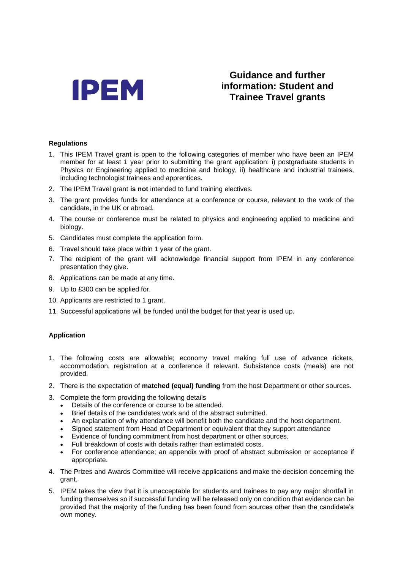

## **Guidance and further information: Student and Trainee Travel grants**

## **Regulations**

- 1. This IPEM Travel grant is open to the following categories of member who have been an IPEM member for at least 1 year prior to submitting the grant application: i) postgraduate students in Physics or Engineering applied to medicine and biology, ii) healthcare and industrial trainees, including technologist trainees and apprentices.
- 2. The IPEM Travel grant **is not** intended to fund training electives.
- 3. The grant provides funds for attendance at a conference or course, relevant to the work of the candidate, in the UK or abroad.
- 4. The course or conference must be related to physics and engineering applied to medicine and biology.
- 5. Candidates must complete the application form.
- 6. Travel should take place within 1 year of the grant.
- 7. The recipient of the grant will acknowledge financial support from IPEM in any conference presentation they give.
- 8. Applications can be made at any time.
- 9. Up to £300 can be applied for.
- 10. Applicants are restricted to 1 grant.
- 11. Successful applications will be funded until the budget for that year is used up.

## **Application**

- 1. The following costs are allowable; economy travel making full use of advance tickets, accommodation, registration at a conference if relevant. Subsistence costs (meals) are not provided.
- 2. There is the expectation of **matched (equal) funding** from the host Department or other sources.
- 3. Complete the form providing the following details
	- Details of the conference or course to be attended.
	- Brief details of the candidates work and of the abstract submitted.
	- An explanation of why attendance will benefit both the candidate and the host department.
	- Signed statement from Head of Department or equivalent that they support attendance
	- Evidence of funding commitment from host department or other sources.
	- Full breakdown of costs with details rather than estimated costs.
	- For conference attendance; an appendix with proof of abstract submission or acceptance if appropriate.
- 4. The Prizes and Awards Committee will receive applications and make the decision concerning the grant.
- 5. IPEM takes the view that it is unacceptable for students and trainees to pay any major shortfall in funding themselves so if successful funding will be released only on condition that evidence can be provided that the majority of the funding has been found from sources other than the candidate's own money.